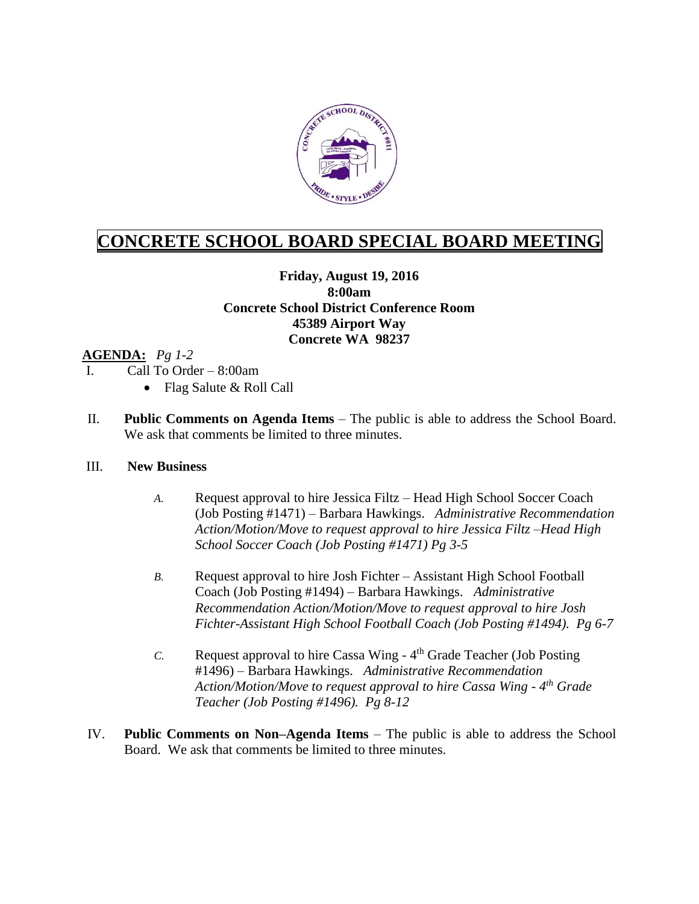

# **CONCRETE SCHOOL BOARD SPECIAL BOARD MEETING**

### **Friday, August 19, 2016 8:00am Concrete School District Conference Room 45389 Airport Way Concrete WA 98237**

#### **AGENDA:** *Pg 1-2*

- I. Call To Order 8:00am
	- Flag Salute & Roll Call
- II. **Public Comments on Agenda Items** The public is able to address the School Board. We ask that comments be limited to three minutes.

#### III. **New Business**

- *A.* Request approval to hire Jessica Filtz Head High School Soccer Coach (Job Posting #1471) – Barbara Hawkings. *Administrative Recommendation Action/Motion/Move to request approval to hire Jessica Filtz –Head High School Soccer Coach (Job Posting #1471) Pg 3-5*
- *B.* Request approval to hire Josh Fichter Assistant High School Football Coach (Job Posting #1494) – Barbara Hawkings. *Administrative Recommendation Action/Motion/Move to request approval to hire Josh Fichter-Assistant High School Football Coach (Job Posting #1494). Pg 6-7*
- *C.* Request approval to hire Cassa Wing 4 th Grade Teacher (Job Posting #1496) – Barbara Hawkings. *Administrative Recommendation Action/Motion/Move to request approval to hire Cassa Wing - 4 th Grade Teacher (Job Posting #1496). Pg 8-12*
- IV. **Public Comments on Non–Agenda Items** The public is able to address the School Board. We ask that comments be limited to three minutes.